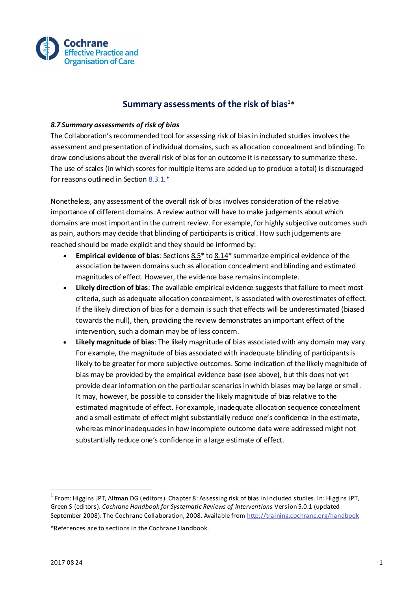

## **Summary assessments of the risk of bias**<sup>1</sup> **\***

## *8.7 Summary assessments of risk of bias*

The Collaboration's recommended tool for assessing risk of bias in included studies involves the assessment and presentation of individual domains, such as allocation concealment and blinding. To draw conclusions about the overall risk of bias for an outcome it is necessary to summarize these. The use of scales (in which scores for multiple items are added up to produce a total) is discouraged for reasons outlined in Section [8.3.1.](http://training.cochrane.org/handbook)\*

Nonetheless, any assessment of the overall risk of bias involves consideration of the relative importance of different domains. A review author will have to make judgements about which domains are most important in the current review. For example, for highly subjective outcomes such as pain, authors may decide that blinding of participants is critical. How such judgements are reached should be made explicit and they should be informed by:

- **Empirical evidence of bias**: Section[s 8.5\\*](http://training.cochrane.org/handbook) t[o 8.14\\*](http://training.cochrane.org/handbook) summarize empirical evidence of the association between domains such as allocation concealment and blinding and estimated magnitudes of effect. However, the evidence base remains incomplete.
- **Likely direction of bias**: The available empirical evidence suggests that failure to meet most criteria, such as adequate allocation concealment, is associated with overestimates of effect. If the likely direction of bias for a domain is such that effects will be underestimated (biased towards the null), then, providing the review demonstrates an important effect of the intervention, such a domain may be of less concern.
- **Likely magnitude of bias**: The likely magnitude of bias associated with any domain may vary. For example, the magnitude of bias associated with inadequate blinding of participants is likely to be greater for more subjective outcomes. Some indication of the likely magnitude of bias may be provided by the empirical evidence base (see above), but this does not yet provide dear information on the particular scenarios in which biases may be large or small. It may, however, be possible to consider the likely magnitude of bias relative to the estimated magnitude of effect. For example, inadequate allocation sequence concealment and a small estimate of effect might substantially reduce one's confidence in the estimate, whereas minor inadequacies in how incomplete outcome data were addressed might not substantially reduce one's confidence in a large estimate of effect.

 $\overline{a}$ 

 $^{\rm 1}$  From: Higgins JPT, Altman DG (editors). Chapter 8: Assessing risk of bias in included studies. In: Higgins JPT, Green S (editors). *Cochrane Handbook for Systematic Reviews of Interventions* Version 5.0.1 (updated September 2008). The Cochrane Collaboration, 2008. Available fro[m http://training.cochrane.org/handbook](http://training.cochrane.org/handbook)

<sup>\*</sup>References are to sections in the Cochrane Handbook.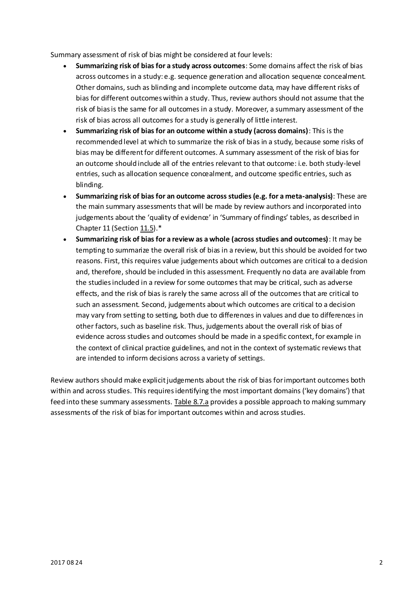Summary assessment of risk of bias might be considered at four levels:

- **Summarizing risk of bias for a study across outcomes**: Some domains affect the risk of bias across outcomes in a study: e.g. sequence generation and allocation sequence concealment. Other domains, such as blinding and incomplete outcome data, may have different risks of bias for different outcomes within a study. Thus, review authors should not assume that the risk of bias is the same for all outcomes in a study. Moreover, a summary assessment of the risk of bias across all outcomes for a study is generally of little interest.
- **Summarizing risk of bias for an outcome within a study (across domains)**: This is the recommended level at which to summarize the risk of bias in a study, because some risks of bias may be different for different outcomes. A summary assessment of the risk of bias for an outcome should include all of the entries relevant to that outcome: i.e. both study-level entries, such as allocation sequence concealment, and outcome specific entries, such as blinding.
- **Summarizing risk of bias for an outcome across studies (e.g. for a meta-analysis)**: These are the main summary assessments that will be made by review authors and incorporated into judgements about the 'quality of evidence' in 'Summary of findings' tables, as described in Chapter 11 (Sectio[n 11.5\)](http://training.cochrane.org/handbook).\*
- **Summarizing risk of bias for a review as a whole (across studies and outcomes)**: It may be tempting to summarize the overall risk of bias in a review, but this should be avoided for two reasons. First, this requires value judgements about which outcomes are critical to a decision and, therefore, should be included in this assessment. Frequently no data are available from the studies included in a review for some outcomes that may be critical, such as adverse effects, and the risk of bias is rarely the same across all of the outcomes that are critical to such an assessment. Second, judgements about which outcomes are critical to a decision may vary from setting to setting, both due to differences in values and due to differences in other factors, such as baseline risk. Thus, judgements about the overall risk of bias of evidence across studies and outcomes should be made in a specific context, for example in the context of clinical practice guidelines, and not in the context of systematic reviews that are intended to inform decisions across a variety of settings.

Review authors should make explicit judgements about the risk of bias for important outcomes both within and across studies. This requires identifying the most important domains ('key domains') that feed into these summary assessments[. Table 8.7.a](http://training.cochrane.org/handbook) provides a possible approach to making summary assessments of the risk of bias for important outcomes within and across studies.